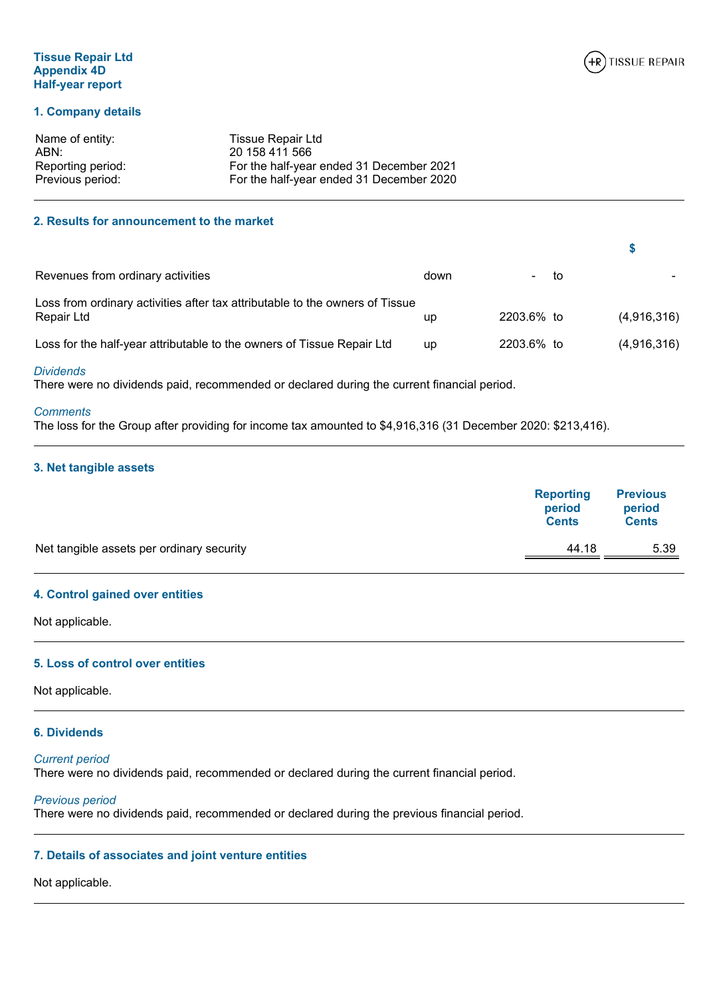# **Tissue Repair Ltd Appendix 4D Half-year report**

# **1. Company details**

| Name of entity:   | Tissue Repair Ltd                        |
|-------------------|------------------------------------------|
| ABN:              | 20 158 411 566                           |
| Reporting period: | For the half-year ended 31 December 2021 |
| Previous period:  | For the half-year ended 31 December 2020 |

# **2. Results for announcement to the market**

| Revenues from ordinary activities                                                          | down | - to       |             |
|--------------------------------------------------------------------------------------------|------|------------|-------------|
| Loss from ordinary activities after tax attributable to the owners of Tissue<br>Repair Ltd | up   | 2203.6% to | (4,916,316) |
| Loss for the half-year attributable to the owners of Tissue Repair Ltd                     | up   | 2203.6% to | (4,916,316) |

#### *Dividends*

There were no dividends paid, recommended or declared during the current financial period.

# *Comments*

The loss for the Group after providing for income tax amounted to \$4,916,316 (31 December 2020: \$213,416).

# **3. Net tangible assets**

| <b>Cents</b>  |
|---------------|
| 44.18<br>5.39 |
| <b>Cents</b>  |

# **4. Control gained over entities**

Not applicable.

# **5. Loss of control over entities**

Not applicable.

# **6. Dividends**

# *Current period*

There were no dividends paid, recommended or declared during the current financial period.

# *Previous period*

There were no dividends paid, recommended or declared during the previous financial period.

# **7. Details of associates and joint venture entities**

# Not applicable.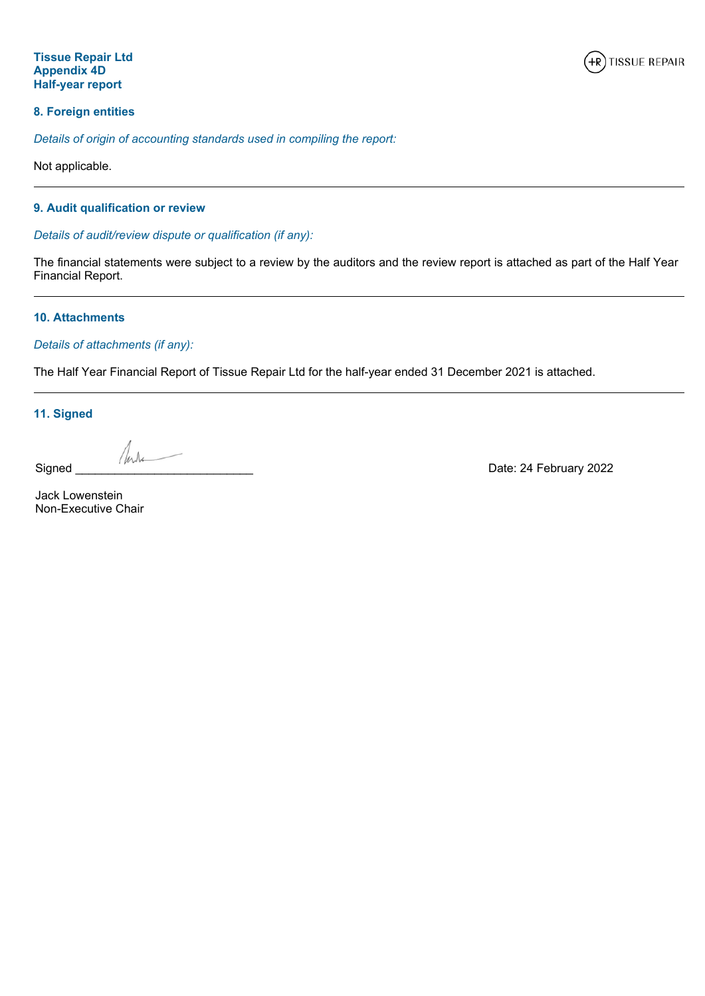

# **8. Foreign entities**

*Details of origin of accounting standards used in compiling the report:*

Not applicable.

# **9. Audit qualification or review**

*Details of audit/review dispute or qualification (if any):*

The financial statements were subject to a review by the auditors and the review report is attached as part of the Half Year Financial Report.

# **10. Attachments**

# *Details of attachments (if any):*

The Half Year Financial Report of Tissue Repair Ltd for the half-year ended 31 December 2021 is attached.

**11. Signed**

Signed \_\_\_\_\_\_\_\_\_\_\_\_\_\_\_\_\_\_\_\_\_\_\_\_\_\_\_ Date: 24 February 2022

Jack Lowenstein Non-Executive Chair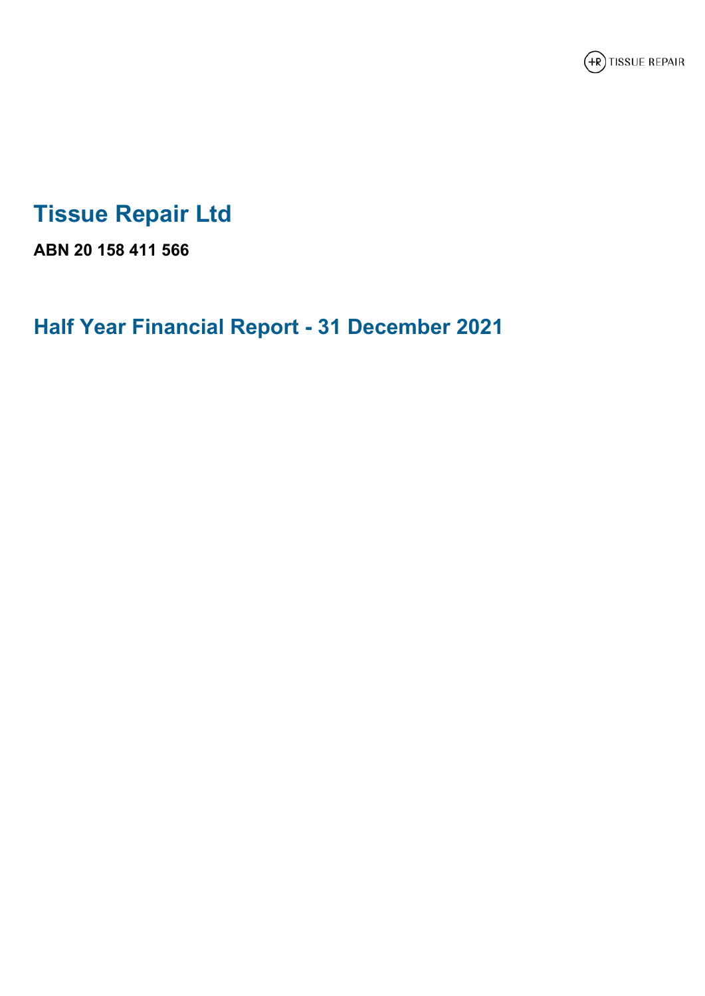

# **Tissue Repair Ltd**

**ABN 20 158 411 566**

**Half Year Financial Report - 31 December 2021**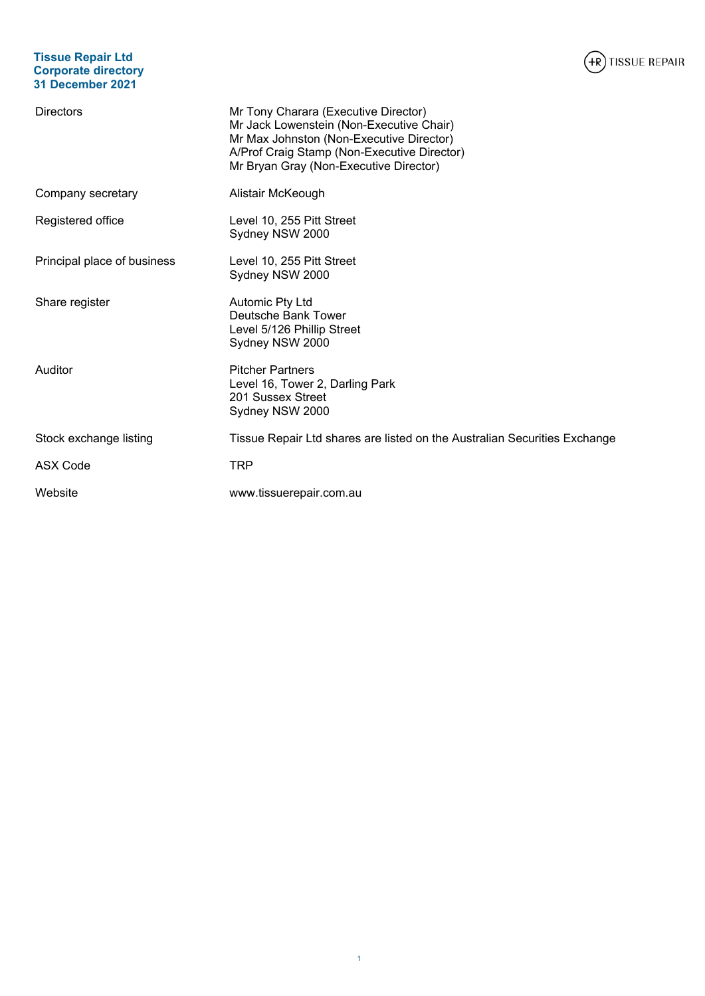# **Tissue Repair Ltd Corporate directory 31 December 2021**



| <b>Directors</b>            | Mr Tony Charara (Executive Director)<br>Mr Jack Lowenstein (Non-Executive Chair)<br>Mr Max Johnston (Non-Executive Director)<br>A/Prof Craig Stamp (Non-Executive Director)<br>Mr Bryan Gray (Non-Executive Director) |
|-----------------------------|-----------------------------------------------------------------------------------------------------------------------------------------------------------------------------------------------------------------------|
| Company secretary           | Alistair McKeough                                                                                                                                                                                                     |
| Registered office           | Level 10, 255 Pitt Street<br>Sydney NSW 2000                                                                                                                                                                          |
| Principal place of business | Level 10, 255 Pitt Street<br>Sydney NSW 2000                                                                                                                                                                          |
| Share register              | Automic Pty Ltd<br>Deutsche Bank Tower<br>Level 5/126 Phillip Street<br>Sydney NSW 2000                                                                                                                               |
| Auditor                     | <b>Pitcher Partners</b><br>Level 16, Tower 2, Darling Park<br>201 Sussex Street<br>Sydney NSW 2000                                                                                                                    |
| Stock exchange listing      | Tissue Repair Ltd shares are listed on the Australian Securities Exchange                                                                                                                                             |
| <b>ASX Code</b>             | TRP                                                                                                                                                                                                                   |
| Website                     | www.tissuerepair.com.au                                                                                                                                                                                               |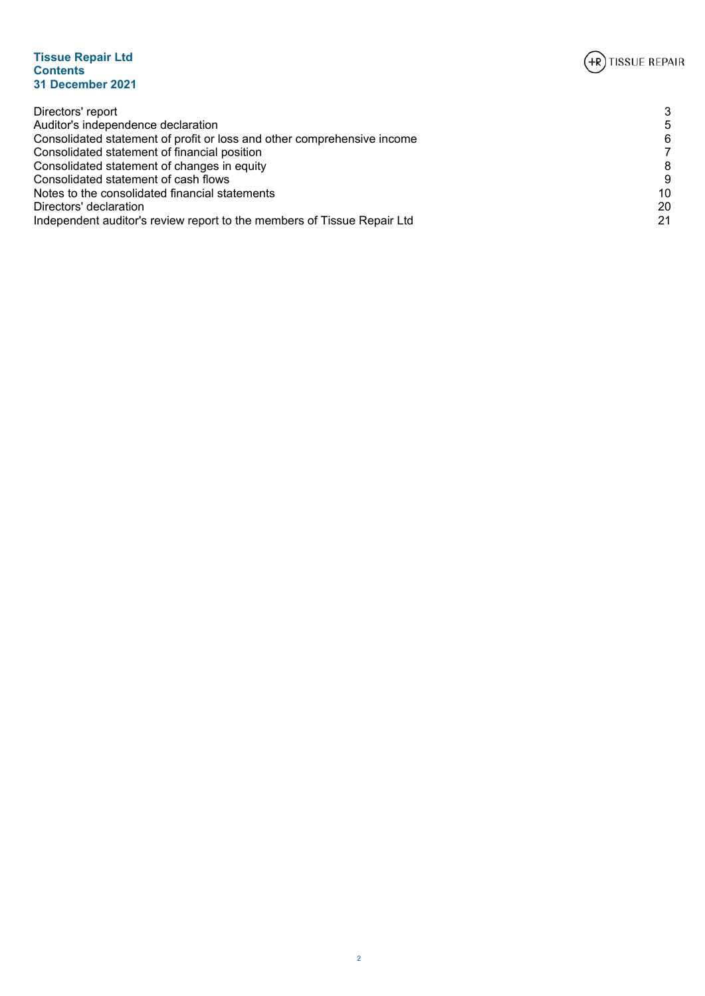

# **Tissue Repair Ltd Contents 31 December 2021**

| Directors' report                                                       | 3  |
|-------------------------------------------------------------------------|----|
| Auditor's independence declaration                                      | 5  |
| Consolidated statement of profit or loss and other comprehensive income | 6  |
| Consolidated statement of financial position                            | 7  |
| Consolidated statement of changes in equity                             | 8  |
| Consolidated statement of cash flows                                    | 9  |
| Notes to the consolidated financial statements                          | 10 |
| Directors' declaration                                                  | 20 |
| Independent auditor's review report to the members of Tissue Repair Ltd | 21 |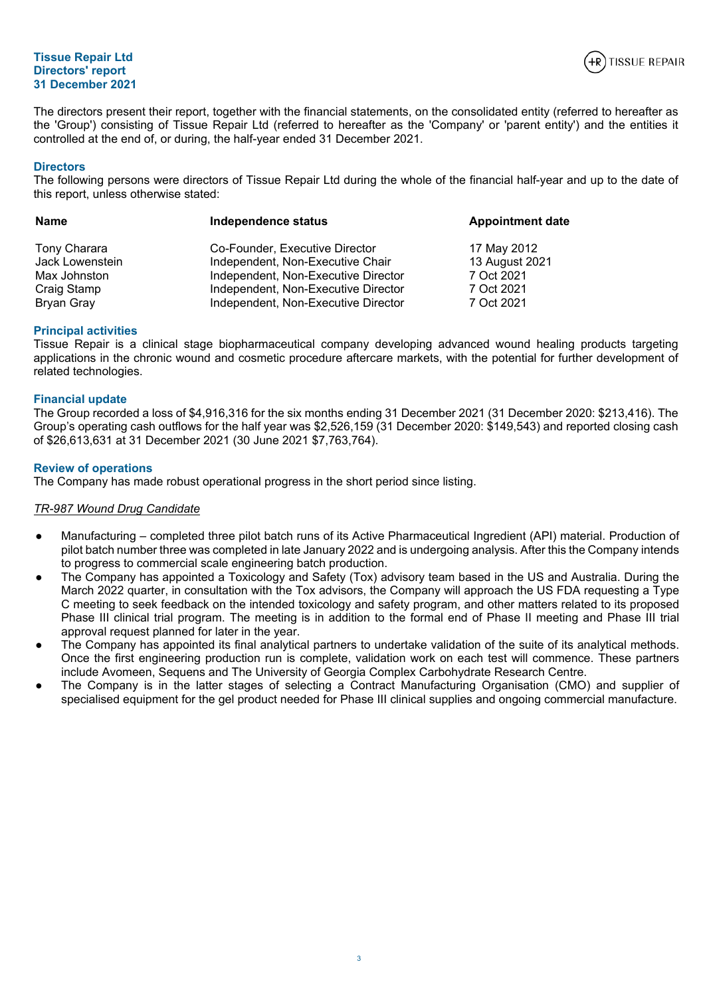# **Tissue Repair Ltd Directors' report 31 December 2021**



<span id="page-5-0"></span>The directors present their report, together with the financial statements, on the consolidated entity (referred to hereafter as the 'Group') consisting of Tissue Repair Ltd (referred to hereafter as the 'Company' or 'parent entity') and the entities it controlled at the end of, or during, the half-year ended 31 December 2021.

## **Directors**

The following persons were directors of Tissue Repair Ltd during the whole of the financial half-year and up to the date of this report, unless otherwise stated:

| <b>Name</b>     | Independence status                 | <b>Appointment date</b> |  |  |
|-----------------|-------------------------------------|-------------------------|--|--|
| Tony Charara    | Co-Founder, Executive Director      | 17 May 2012             |  |  |
| Jack Lowenstein | Independent, Non-Executive Chair    | 13 August 2021          |  |  |
| Max Johnston    | Independent, Non-Executive Director | 7 Oct 2021              |  |  |
| Craig Stamp     | Independent, Non-Executive Director | 7 Oct 2021              |  |  |
| Bryan Gray      | Independent, Non-Executive Director | 7 Oct 2021              |  |  |

## **Principal activities**

Tissue Repair is a clinical stage biopharmaceutical company developing advanced wound healing products targeting applications in the chronic wound and cosmetic procedure aftercare markets, with the potential for further development of related technologies.

# **Financial update**

The Group recorded a loss of \$4,916,316 for the six months ending 31 December 2021 (31 December 2020: \$213,416). The Group's operating cash outflows for the half year was \$2,526,159 (31 December 2020: \$149,543) and reported closing cash of \$26,613,631 at 31 December 2021 (30 June 2021 \$7,763,764).

# **Review of operations**

The Company has made robust operational progress in the short period since listing.

#### *TR-987 Wound Drug Candidate*

- Manufacturing completed three pilot batch runs of its Active Pharmaceutical Ingredient (API) material. Production of pilot batch number three was completed in late January 2022 and is undergoing analysis. After this the Company intends to progress to commercial scale engineering batch production.
- The Company has appointed a Toxicology and Safety (Tox) advisory team based in the US and Australia. During the March 2022 quarter, in consultation with the Tox advisors, the Company will approach the US FDA requesting a Type C meeting to seek feedback on the intended toxicology and safety program, and other matters related to its proposed Phase III clinical trial program. The meeting is in addition to the formal end of Phase II meeting and Phase III trial approval request planned for later in the year.
- The Company has appointed its final analytical partners to undertake validation of the suite of its analytical methods. Once the first engineering production run is complete, validation work on each test will commence. These partners include Avomeen, Sequens and The University of Georgia Complex Carbohydrate Research Centre.
- The Company is in the latter stages of selecting a Contract Manufacturing Organisation (CMO) and supplier of specialised equipment for the gel product needed for Phase III clinical supplies and ongoing commercial manufacture.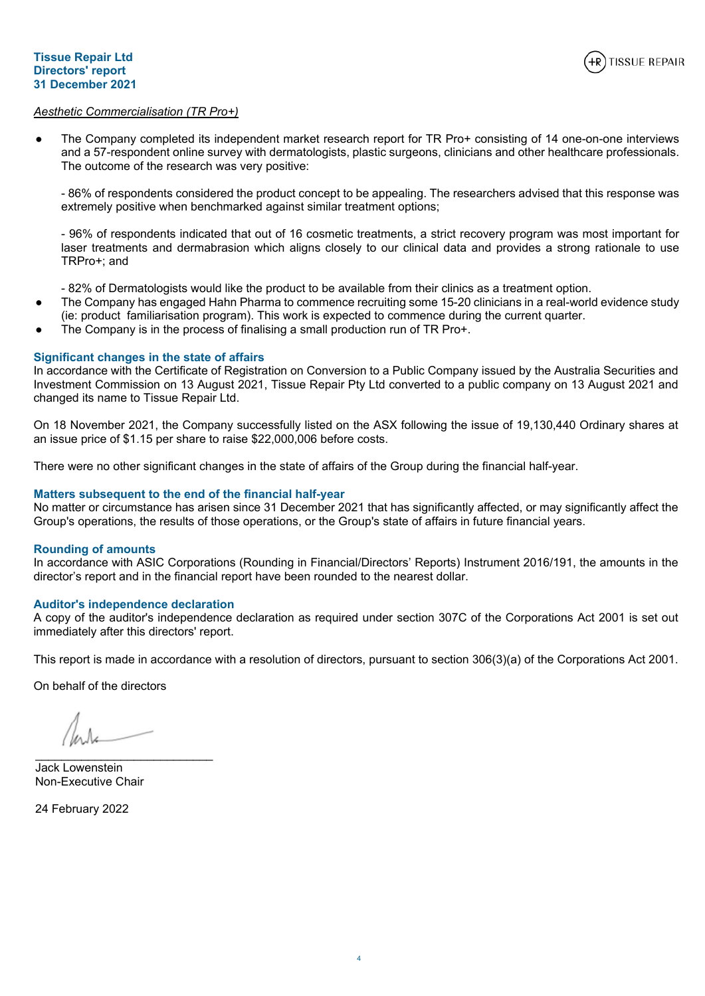

# *Aesthetic Commercialisation (TR Pro+)*

The Company completed its independent market research report for TR Pro+ consisting of 14 one-on-one interviews and a 57-respondent online survey with dermatologists, plastic surgeons, clinicians and other healthcare professionals. The outcome of the research was very positive:

- 86% of respondents considered the product concept to be appealing. The researchers advised that this response was extremely positive when benchmarked against similar treatment options;

- 96% of respondents indicated that out of 16 cosmetic treatments, a strict recovery program was most important for laser treatments and dermabrasion which aligns closely to our clinical data and provides a strong rationale to use TRPro+; and

- 82% of Dermatologists would like the product to be available from their clinics as a treatment option.

- The Company has engaged Hahn Pharma to commence recruiting some 15-20 clinicians in a real-world evidence study (ie: product familiarisation program). This work is expected to commence during the current quarter.
- The Company is in the process of finalising a small production run of TR Pro+.

# **Significant changes in the state of affairs**

In accordance with the Certificate of Registration on Conversion to a Public Company issued by the Australia Securities and Investment Commission on 13 August 2021, Tissue Repair Pty Ltd converted to a public company on 13 August 2021 and changed its name to Tissue Repair Ltd.

On 18 November 2021, the Company successfully listed on the ASX following the issue of 19,130,440 Ordinary shares at an issue price of \$1.15 per share to raise \$22,000,006 before costs.

There were no other significant changes in the state of affairs of the Group during the financial half-year.

# **Matters subsequent to the end of the financial half-year**

No matter or circumstance has arisen since 31 December 2021 that has significantly affected, or may significantly affect the Group's operations, the results of those operations, or the Group's state of affairs in future financial years.

#### **Rounding of amounts**

In accordance with ASIC Corporations (Rounding in Financial/Directors' Reports) Instrument 2016/191, the amounts in the director's report and in the financial report have been rounded to the nearest dollar.

# **Auditor's independence declaration**

A copy of the auditor's independence declaration as required under section 307C of the Corporations Act 2001 is set out immediately after this directors' report.

This report is made in accordance with a resolution of directors, pursuant to section 306(3)(a) of the Corporations Act 2001.

On behalf of the directors

 $\mathcal{L}_\text{max}$  and  $\mathcal{L}_\text{max}$  and  $\mathcal{L}_\text{max}$  and  $\mathcal{L}_\text{max}$ 

Jack Lowenstein Non-Executive Chair

24 February 2022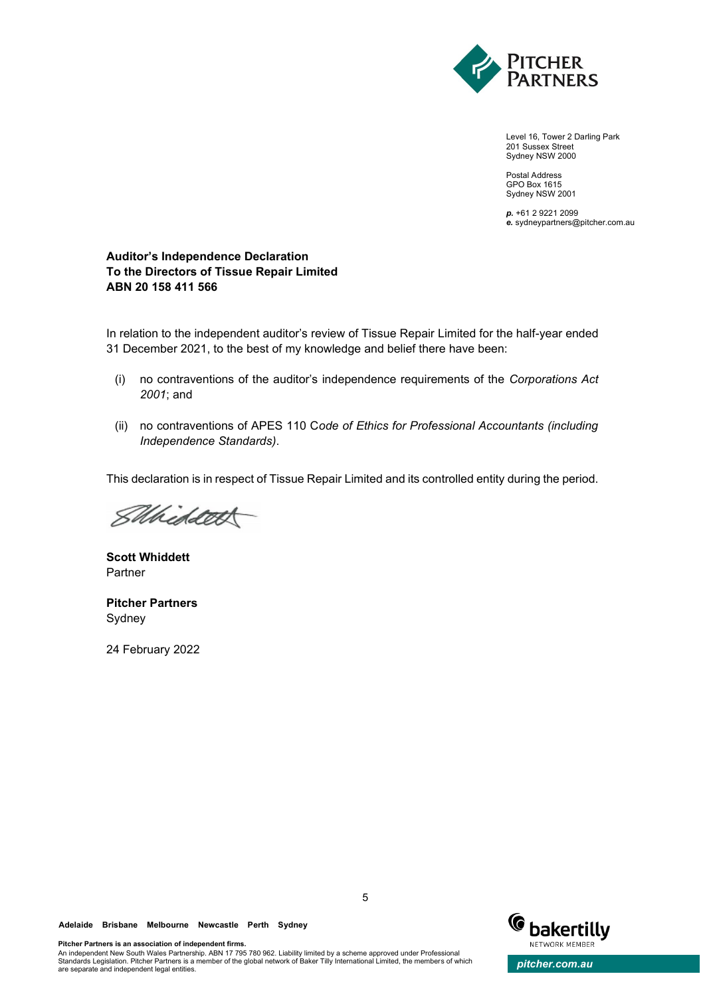

Level 16, Tower 2 Darling Park 201 Sussex Street Sydney NSW 2000

Postal Address GPO Box 1615 Sydney NSW 2001

*p.* +61 2 9221 2099 *e.* sydneypartners@pitcher.com.au

# **Auditor's Independence Declaration To the Directors of Tissue Repair Limited ABN 20 158 411 566**

In relation to the independent auditor's review of Tissue Repair Limited for the half-year ended 31 December 2021, to the best of my knowledge and belief there have been:

- (i) no contraventions of the auditor's independence requirements of the *Corporations Act 2001*; and
- (ii) no contraventions of APES 110 C*ode of Ethics for Professional Accountants (including Independence Standards)*.

This declaration is in respect of Tissue Repair Limited and its controlled entity during the period.

SMiddet

**Scott Whiddett** Partner

**Pitcher Partners** Sydney

24 February 2022

An independent New South Wales Partnership. ABN 17 795 780 962. Liability limited by a scheme approved under Professional

**Pitcher Partners is an association of independent firms.**



Standards Legislation. Pitcher Partners is a member of the global network of Baker Tilly International Limited, the members of which **pitcher.com.au**<br>are separate and independent legal entities.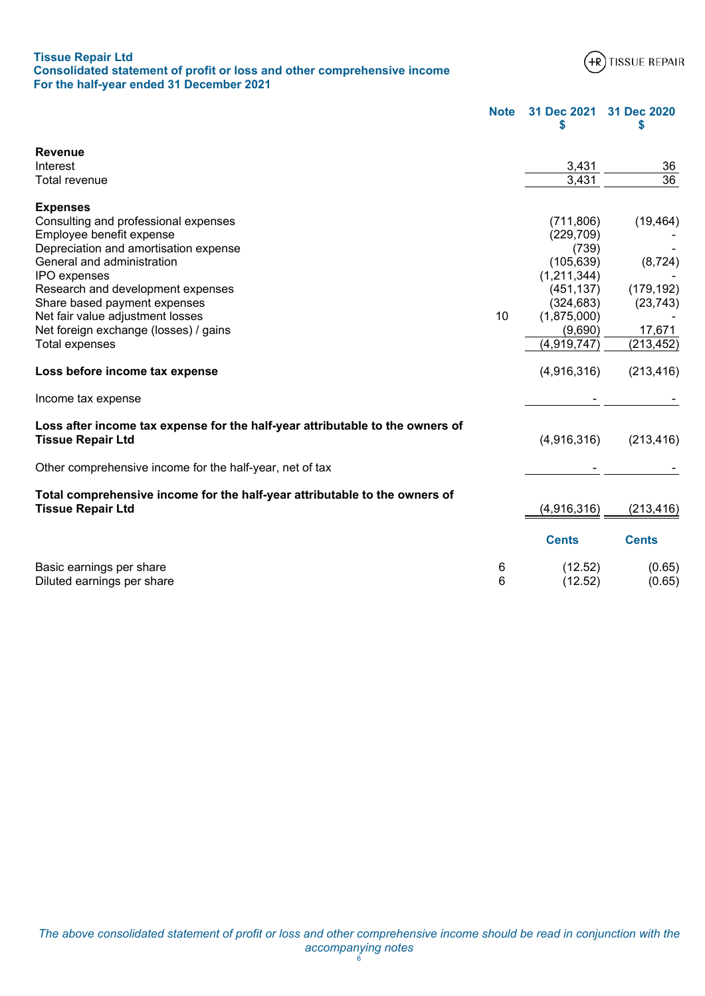| <b>Tissue Repair Ltd</b>                                                |  |
|-------------------------------------------------------------------------|--|
| Consolidated statement of profit or loss and other comprehensive income |  |
| For the half-year ended 31 December 2021                                |  |



<span id="page-8-0"></span>

|                                                                                                           | <b>Note</b> | 31 Dec 2021<br>S | 31 Dec 2020<br>S |
|-----------------------------------------------------------------------------------------------------------|-------------|------------------|------------------|
| <b>Revenue</b>                                                                                            |             |                  |                  |
| Interest                                                                                                  |             | 3,431            | 36               |
| Total revenue                                                                                             |             | 3,431            | 36               |
| <b>Expenses</b>                                                                                           |             |                  |                  |
| Consulting and professional expenses                                                                      |             | (711, 806)       | (19, 464)        |
| Employee benefit expense                                                                                  |             | (229, 709)       |                  |
| Depreciation and amortisation expense                                                                     |             | (739)            |                  |
| General and administration                                                                                |             | (105, 639)       | (8, 724)         |
| IPO expenses                                                                                              |             | (1,211,344)      |                  |
| Research and development expenses                                                                         |             | (451, 137)       | (179, 192)       |
| Share based payment expenses                                                                              |             | (324, 683)       | (23, 743)        |
| Net fair value adjustment losses                                                                          | 10          | (1,875,000)      |                  |
| Net foreign exchange (losses) / gains                                                                     |             | (9,690)          | 17,671           |
| <b>Total expenses</b>                                                                                     |             | (4,919,747)      | (213, 452)       |
| Loss before income tax expense                                                                            |             | (4,916,316)      | (213, 416)       |
| Income tax expense                                                                                        |             |                  |                  |
| Loss after income tax expense for the half-year attributable to the owners of<br><b>Tissue Repair Ltd</b> |             | (4,916,316)      | (213, 416)       |
| Other comprehensive income for the half-year, net of tax                                                  |             |                  |                  |
| Total comprehensive income for the half-year attributable to the owners of<br><b>Tissue Repair Ltd</b>    |             | (4,916,316)      | (213, 416)       |
|                                                                                                           |             | <b>Cents</b>     | <b>Cents</b>     |
| Basic earnings per share                                                                                  | 6           | (12.52)          | (0.65)           |
| Diluted earnings per share                                                                                | 6           | (12.52)          | (0.65)           |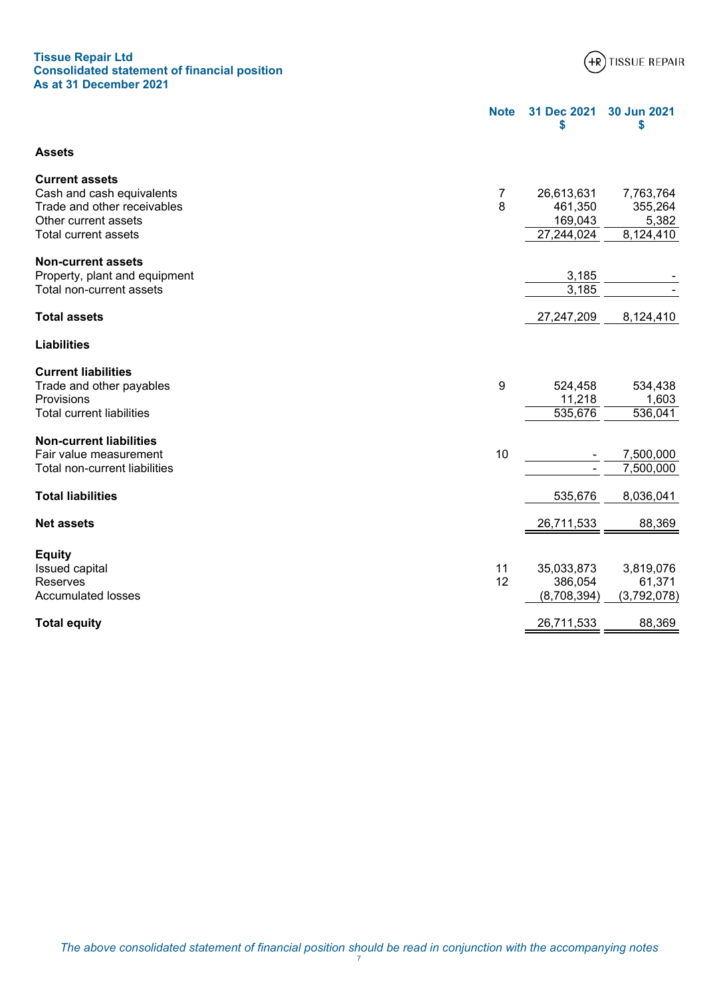# **Tissue Repair Ltd Consolidated statement of financial position As at 31 December 2021**



<span id="page-9-0"></span>

|                                                           | <b>Note</b> | 31 Dec 2021<br>\$  | 30 Jun 2021<br>\$  |
|-----------------------------------------------------------|-------------|--------------------|--------------------|
| <b>Assets</b>                                             |             |                    |                    |
| <b>Current assets</b>                                     |             |                    |                    |
| Cash and cash equivalents                                 | 7           | 26,613,631         | 7,763,764          |
| Trade and other receivables<br>Other current assets       | 8           | 461,350<br>169,043 | 355,264            |
| Total current assets                                      |             | 27,244,024         | 5,382<br>8,124,410 |
|                                                           |             |                    |                    |
| <b>Non-current assets</b>                                 |             | 3,185              |                    |
| Property, plant and equipment<br>Total non-current assets |             | 3,185              |                    |
|                                                           |             |                    |                    |
| <b>Total assets</b>                                       |             | 27,247,209         | 8,124,410          |
| <b>Liabilities</b>                                        |             |                    |                    |
| <b>Current liabilities</b>                                |             |                    |                    |
| Trade and other payables                                  | 9           | 524,458            | 534,438            |
| Provisions                                                |             | 11,218             | 1,603              |
| <b>Total current liabilities</b>                          |             | 535,676            | 536,041            |
| <b>Non-current liabilities</b>                            |             |                    |                    |
| Fair value measurement                                    | 10          |                    | 7,500,000          |
| Total non-current liabilities                             |             |                    | 7,500,000          |
|                                                           |             |                    |                    |
| <b>Total liabilities</b>                                  |             | 535,676            | 8,036,041          |
|                                                           |             |                    |                    |
| <b>Net assets</b>                                         |             | 26,711,533         | 88,369             |
|                                                           |             |                    |                    |
| <b>Equity</b>                                             |             |                    |                    |
| Issued capital                                            | 11          | 35,033,873         | 3,819,076          |
| Reserves                                                  | 12          | 386,054            | 61,371             |
| <b>Accumulated losses</b>                                 |             | (8,708,394)        | (3,792,078)        |
| <b>Total equity</b>                                       |             | 26,711,533         | 88,369             |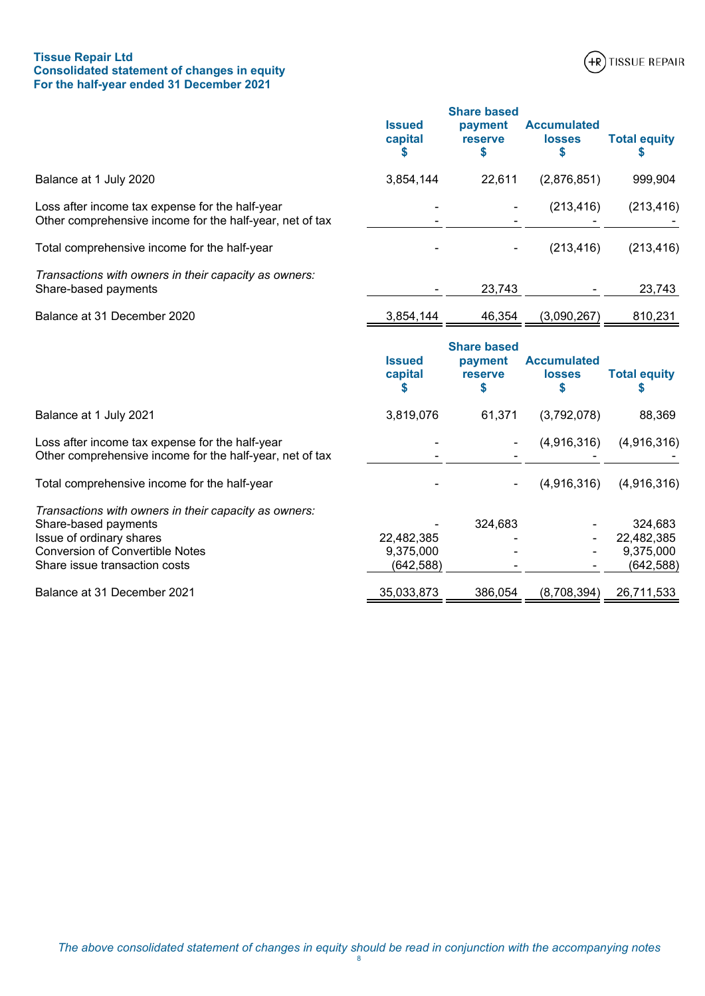# **Tissue Repair Ltd Consolidated statement of changes in equity For the half-year ended 31 December 2021**



<span id="page-10-0"></span>

|                                                                                                             | <b>Issued</b><br>capital | <b>Share based</b><br>payment<br>reserve<br>\$       | <b>Accumulated</b><br><b>losses</b><br>\$ | <b>Total equity</b>   |
|-------------------------------------------------------------------------------------------------------------|--------------------------|------------------------------------------------------|-------------------------------------------|-----------------------|
| Balance at 1 July 2020                                                                                      | 3,854,144                | 22,611                                               | (2,876,851)                               | 999,904               |
| Loss after income tax expense for the half-year<br>Other comprehensive income for the half-year, net of tax |                          |                                                      | (213, 416)                                | (213, 416)            |
| Total comprehensive income for the half-year                                                                |                          |                                                      | (213, 416)                                | (213, 416)            |
| Transactions with owners in their capacity as owners:<br>Share-based payments                               |                          | 23,743                                               |                                           | 23,743                |
| Balance at 31 December 2020                                                                                 | 3,854,144                | 46,354                                               | (3,090,267)                               | 810,231               |
|                                                                                                             | <b>Issued</b><br>capital | <b>Share based</b><br>payment<br><b>reserve</b><br>S | <b>Accumulated</b><br><b>losses</b><br>\$ | <b>Total equity</b>   |
| Balance at 1 July 2021                                                                                      | 3,819,076                | 61,371                                               | (3,792,078)                               | 88,369                |
| Loss after income tax expense for the half-year<br>Other comprehensive income for the half-year, net of tax |                          |                                                      | (4,916,316)                               | (4,916,316)           |
| Total comprehensive income for the half-year                                                                |                          |                                                      | (4,916,316)                               | (4,916,316)           |
| Transactions with owners in their capacity as owners:<br>Share-based payments<br>Issue of ordinary shares   | 22,482,385               | 324,683                                              |                                           | 324,683<br>22,482,385 |

Conversion of Convertible Notes 9,375,000 - - 9,375,000 Share issue transaction costs (642,588) (642,588)

Balance at 31 December 2021 15:33 35,033,873 386,054 (8,708,394) 26,711,533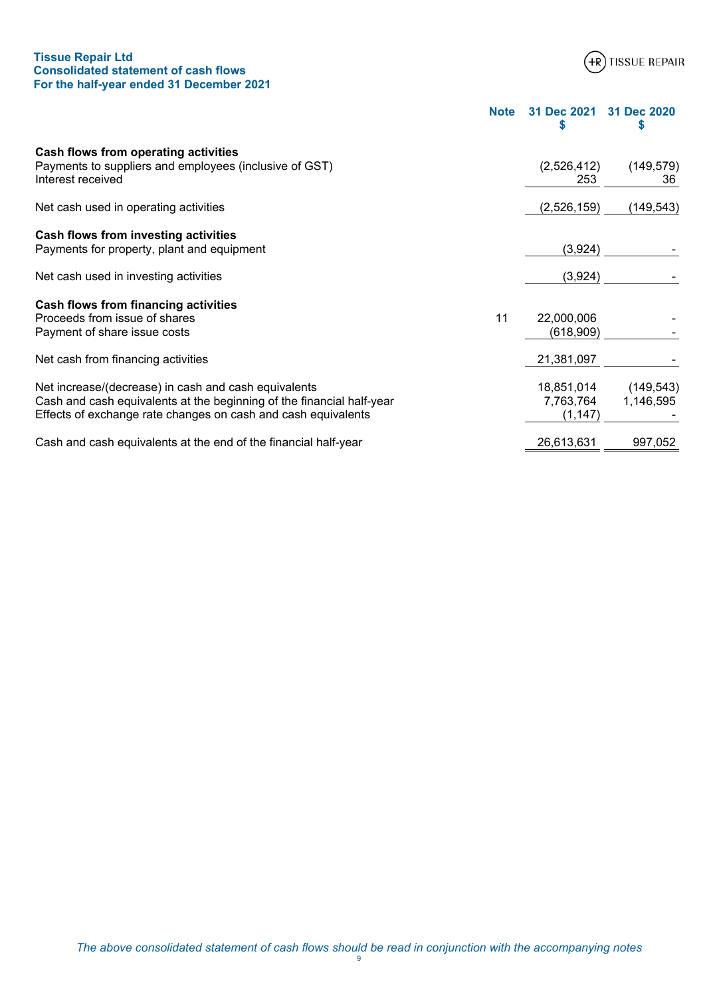# **Tissue Repair Ltd Consolidated statement of cash flows For the half-year ended 31 December 2021**



**Note 31 Dec 2021 31 Dec 2020**

<span id="page-11-0"></span>

|                                                                                                                                                                                                |    | \$                                  | S                       |
|------------------------------------------------------------------------------------------------------------------------------------------------------------------------------------------------|----|-------------------------------------|-------------------------|
| Cash flows from operating activities<br>Payments to suppliers and employees (inclusive of GST)<br>Interest received                                                                            |    | (2,526,412)<br>253                  | (149, 579)<br>36        |
| Net cash used in operating activities                                                                                                                                                          |    | (2,526,159)                         | (149,543)               |
| Cash flows from investing activities<br>Payments for property, plant and equipment                                                                                                             |    | (3,924)                             |                         |
| Net cash used in investing activities                                                                                                                                                          |    | (3,924)                             |                         |
| Cash flows from financing activities<br>Proceeds from issue of shares<br>Payment of share issue costs                                                                                          | 11 | 22,000,006<br>(618,909)             |                         |
| Net cash from financing activities                                                                                                                                                             |    | 21,381,097                          |                         |
| Net increase/(decrease) in cash and cash equivalents<br>Cash and cash equivalents at the beginning of the financial half-year<br>Effects of exchange rate changes on cash and cash equivalents |    | 18,851,014<br>7,763,764<br>(1, 147) | (149, 543)<br>1,146,595 |
| Cash and cash equivalents at the end of the financial half-year                                                                                                                                |    | 26,613,631                          | 997,052                 |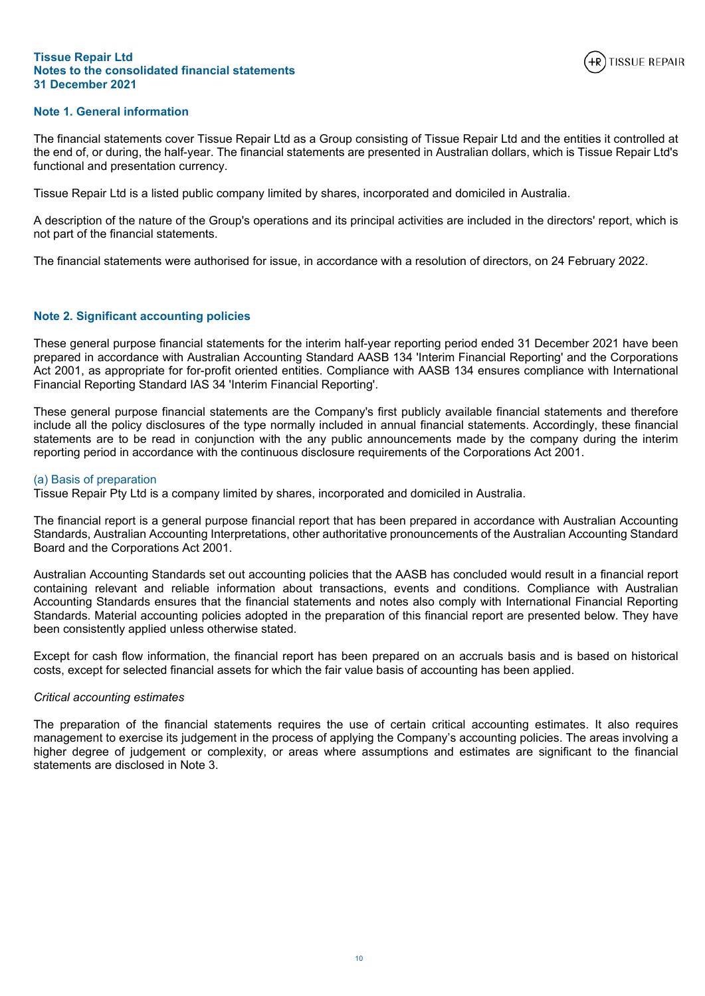

# <span id="page-12-0"></span>**Note 1. General information**

The financial statements cover Tissue Repair Ltd as a Group consisting of Tissue Repair Ltd and the entities it controlled at the end of, or during, the half-year. The financial statements are presented in Australian dollars, which is Tissue Repair Ltd's functional and presentation currency.

Tissue Repair Ltd is a listed public company limited by shares, incorporated and domiciled in Australia.

A description of the nature of the Group's operations and its principal activities are included in the directors' report, which is not part of the financial statements.

The financial statements were authorised for issue, in accordance with a resolution of directors, on 24 February 2022.

# **Note 2. Significant accounting policies**

These general purpose financial statements for the interim half-year reporting period ended 31 December 2021 have been prepared in accordance with Australian Accounting Standard AASB 134 'Interim Financial Reporting' and the Corporations Act 2001, as appropriate for for-profit oriented entities. Compliance with AASB 134 ensures compliance with International Financial Reporting Standard IAS 34 'Interim Financial Reporting'.

These general purpose financial statements are the Company's first publicly available financial statements and therefore include all the policy disclosures of the type normally included in annual financial statements. Accordingly, these financial statements are to be read in conjunction with the any public announcements made by the company during the interim reporting period in accordance with the continuous disclosure requirements of the Corporations Act 2001.

# (a) Basis of preparation

Tissue Repair Pty Ltd is a company limited by shares, incorporated and domiciled in Australia.

The financial report is a general purpose financial report that has been prepared in accordance with Australian Accounting Standards, Australian Accounting Interpretations, other authoritative pronouncements of the Australian Accounting Standard Board and the Corporations Act 2001.

Australian Accounting Standards set out accounting policies that the AASB has concluded would result in a financial report containing relevant and reliable information about transactions, events and conditions. Compliance with Australian Accounting Standards ensures that the financial statements and notes also comply with International Financial Reporting Standards. Material accounting policies adopted in the preparation of this financial report are presented below. They have been consistently applied unless otherwise stated.

Except for cash flow information, the financial report has been prepared on an accruals basis and is based on historical costs, except for selected financial assets for which the fair value basis of accounting has been applied.

# *Critical accounting estimates*

The preparation of the financial statements requires the use of certain critical accounting estimates. It also requires management to exercise its judgement in the process of applying the Company's accounting policies. The areas involving a higher degree of judgement or complexity, or areas where assumptions and estimates are significant to the financial statements are disclosed in Note 3.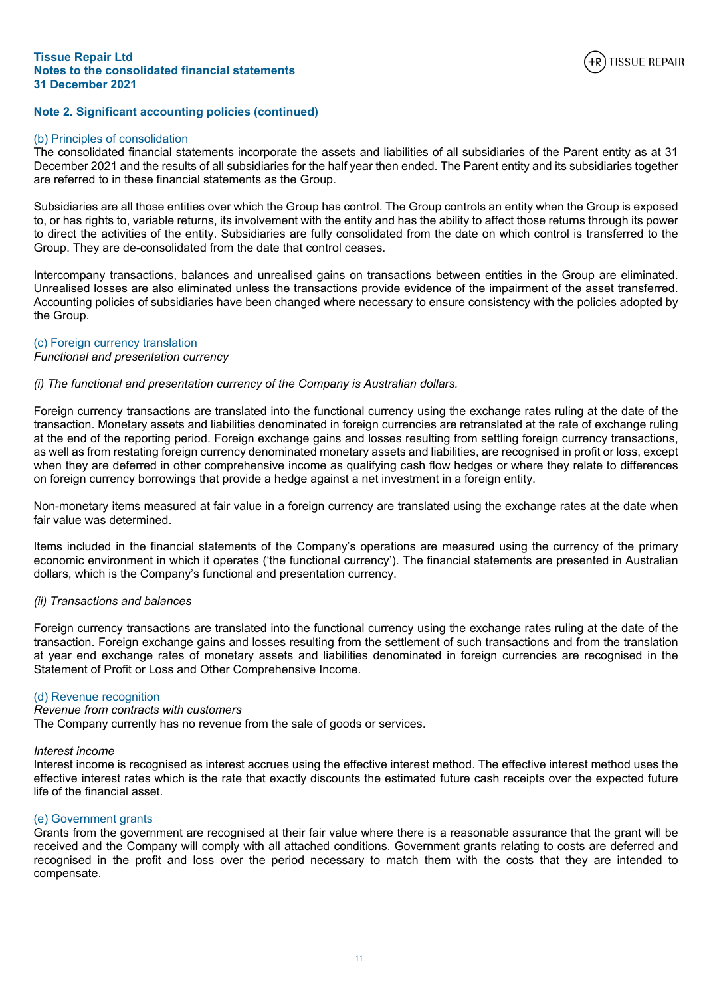

# **Note 2. Significant accounting policies (continued)**

## (b) Principles of consolidation

The consolidated financial statements incorporate the assets and liabilities of all subsidiaries of the Parent entity as at 31 December 2021 and the results of all subsidiaries for the half year then ended. The Parent entity and its subsidiaries together are referred to in these financial statements as the Group.

Subsidiaries are all those entities over which the Group has control. The Group controls an entity when the Group is exposed to, or has rights to, variable returns, its involvement with the entity and has the ability to affect those returns through its power to direct the activities of the entity. Subsidiaries are fully consolidated from the date on which control is transferred to the Group. They are de-consolidated from the date that control ceases.

Intercompany transactions, balances and unrealised gains on transactions between entities in the Group are eliminated. Unrealised losses are also eliminated unless the transactions provide evidence of the impairment of the asset transferred. Accounting policies of subsidiaries have been changed where necessary to ensure consistency with the policies adopted by the Group.

## (c) Foreign currency translation

# *Functional and presentation currency*

## *(i) The functional and presentation currency of the Company is Australian dollars.*

Foreign currency transactions are translated into the functional currency using the exchange rates ruling at the date of the transaction. Monetary assets and liabilities denominated in foreign currencies are retranslated at the rate of exchange ruling at the end of the reporting period. Foreign exchange gains and losses resulting from settling foreign currency transactions, as well as from restating foreign currency denominated monetary assets and liabilities, are recognised in profit or loss, except when they are deferred in other comprehensive income as qualifying cash flow hedges or where they relate to differences on foreign currency borrowings that provide a hedge against a net investment in a foreign entity.

Non-monetary items measured at fair value in a foreign currency are translated using the exchange rates at the date when fair value was determined.

Items included in the financial statements of the Company's operations are measured using the currency of the primary economic environment in which it operates ('the functional currency'). The financial statements are presented in Australian dollars, which is the Company's functional and presentation currency.

# *(ii) Transactions and balances*

Foreign currency transactions are translated into the functional currency using the exchange rates ruling at the date of the transaction. Foreign exchange gains and losses resulting from the settlement of such transactions and from the translation at year end exchange rates of monetary assets and liabilities denominated in foreign currencies are recognised in the Statement of Profit or Loss and Other Comprehensive Income.

#### (d) Revenue recognition

#### *Revenue from contracts with customers*

The Company currently has no revenue from the sale of goods or services.

#### *Interest income*

Interest income is recognised as interest accrues using the effective interest method. The effective interest method uses the effective interest rates which is the rate that exactly discounts the estimated future cash receipts over the expected future life of the financial asset.

#### (e) Government grants

Grants from the government are recognised at their fair value where there is a reasonable assurance that the grant will be received and the Company will comply with all attached conditions. Government grants relating to costs are deferred and recognised in the profit and loss over the period necessary to match them with the costs that they are intended to compensate.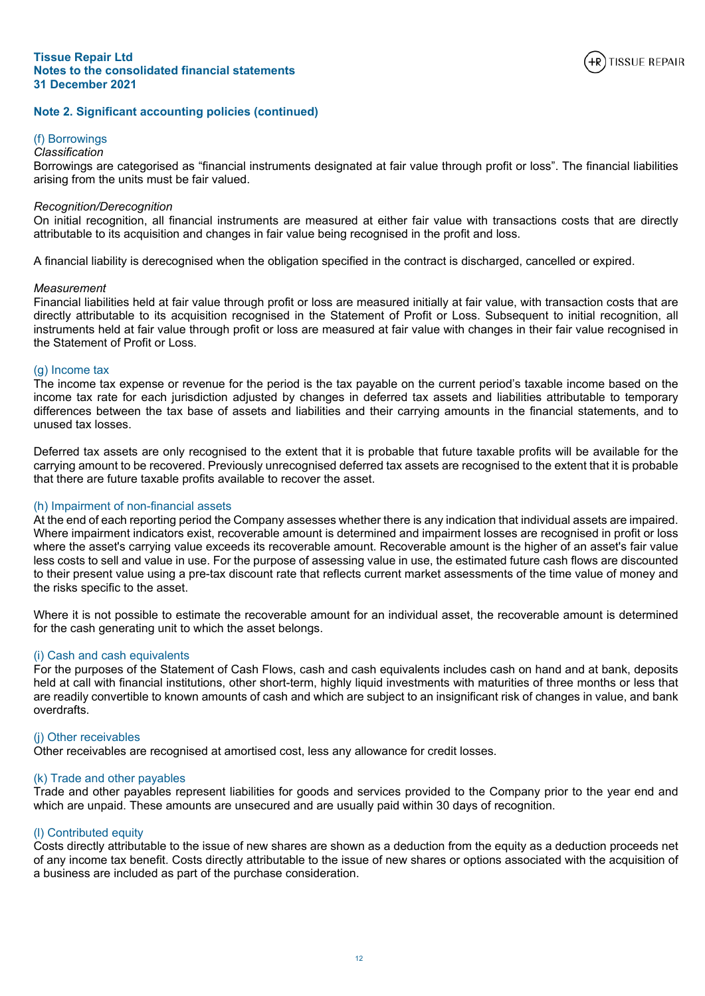

# **Note 2. Significant accounting policies (continued)**

# (f) Borrowings

## *Classification*

Borrowings are categorised as "financial instruments designated at fair value through profit or loss". The financial liabilities arising from the units must be fair valued.

#### *Recognition/Derecognition*

On initial recognition, all financial instruments are measured at either fair value with transactions costs that are directly attributable to its acquisition and changes in fair value being recognised in the profit and loss.

A financial liability is derecognised when the obligation specified in the contract is discharged, cancelled or expired.

#### *Measurement*

Financial liabilities held at fair value through profit or loss are measured initially at fair value, with transaction costs that are directly attributable to its acquisition recognised in the Statement of Profit or Loss. Subsequent to initial recognition, all instruments held at fair value through profit or loss are measured at fair value with changes in their fair value recognised in the Statement of Profit or Loss.

#### (g) Income tax

The income tax expense or revenue for the period is the tax payable on the current period's taxable income based on the income tax rate for each jurisdiction adjusted by changes in deferred tax assets and liabilities attributable to temporary differences between the tax base of assets and liabilities and their carrying amounts in the financial statements, and to unused tax losses.

Deferred tax assets are only recognised to the extent that it is probable that future taxable profits will be available for the carrying amount to be recovered. Previously unrecognised deferred tax assets are recognised to the extent that it is probable that there are future taxable profits available to recover the asset.

#### (h) Impairment of non-financial assets

At the end of each reporting period the Company assesses whether there is any indication that individual assets are impaired. Where impairment indicators exist, recoverable amount is determined and impairment losses are recognised in profit or loss where the asset's carrying value exceeds its recoverable amount. Recoverable amount is the higher of an asset's fair value less costs to sell and value in use. For the purpose of assessing value in use, the estimated future cash flows are discounted to their present value using a pre-tax discount rate that reflects current market assessments of the time value of money and the risks specific to the asset.

Where it is not possible to estimate the recoverable amount for an individual asset, the recoverable amount is determined for the cash generating unit to which the asset belongs.

## (i) Cash and cash equivalents

For the purposes of the Statement of Cash Flows, cash and cash equivalents includes cash on hand and at bank, deposits held at call with financial institutions, other short-term, highly liquid investments with maturities of three months or less that are readily convertible to known amounts of cash and which are subject to an insignificant risk of changes in value, and bank overdrafts.

# (j) Other receivables

Other receivables are recognised at amortised cost, less any allowance for credit losses.

# (k) Trade and other payables

Trade and other payables represent liabilities for goods and services provided to the Company prior to the year end and which are unpaid. These amounts are unsecured and are usually paid within 30 days of recognition.

#### (l) Contributed equity

Costs directly attributable to the issue of new shares are shown as a deduction from the equity as a deduction proceeds net of any income tax benefit. Costs directly attributable to the issue of new shares or options associated with the acquisition of a business are included as part of the purchase consideration.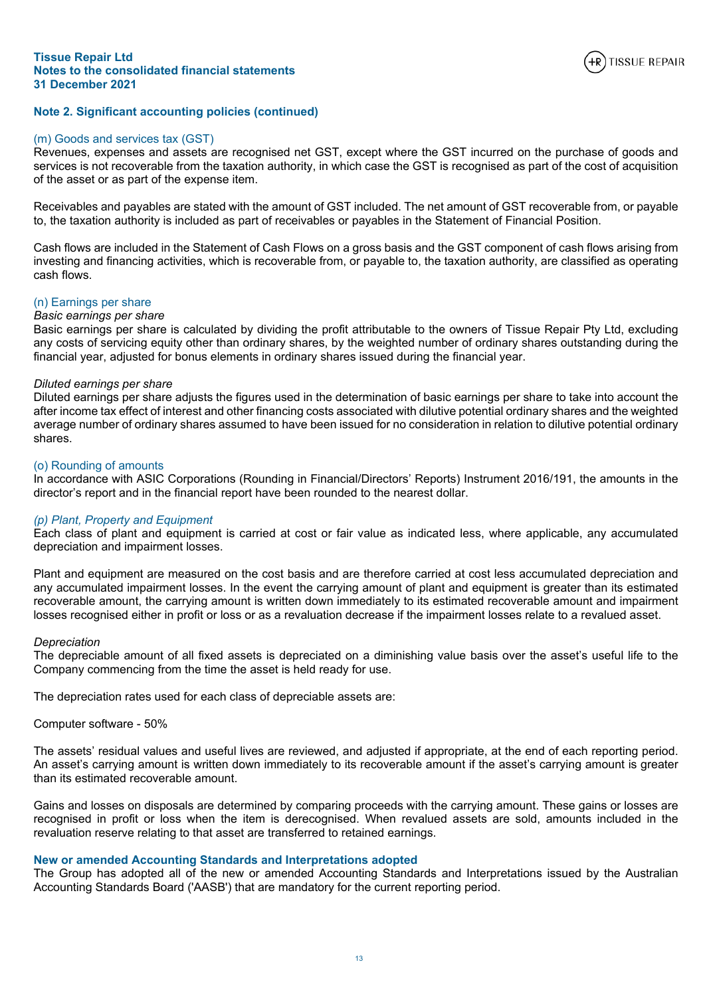

# **Note 2. Significant accounting policies (continued)**

#### (m) Goods and services tax (GST)

Revenues, expenses and assets are recognised net GST, except where the GST incurred on the purchase of goods and services is not recoverable from the taxation authority, in which case the GST is recognised as part of the cost of acquisition of the asset or as part of the expense item.

Receivables and payables are stated with the amount of GST included. The net amount of GST recoverable from, or payable to, the taxation authority is included as part of receivables or payables in the Statement of Financial Position.

Cash flows are included in the Statement of Cash Flows on a gross basis and the GST component of cash flows arising from investing and financing activities, which is recoverable from, or payable to, the taxation authority, are classified as operating cash flows.

## (n) Earnings per share

## *Basic earnings per share*

Basic earnings per share is calculated by dividing the profit attributable to the owners of Tissue Repair Pty Ltd, excluding any costs of servicing equity other than ordinary shares, by the weighted number of ordinary shares outstanding during the financial year, adjusted for bonus elements in ordinary shares issued during the financial year.

#### *Diluted earnings per share*

Diluted earnings per share adjusts the figures used in the determination of basic earnings per share to take into account the after income tax effect of interest and other financing costs associated with dilutive potential ordinary shares and the weighted average number of ordinary shares assumed to have been issued for no consideration in relation to dilutive potential ordinary shares.

# (o) Rounding of amounts

In accordance with ASIC Corporations (Rounding in Financial/Directors' Reports) Instrument 2016/191, the amounts in the director's report and in the financial report have been rounded to the nearest dollar.

#### *(p) Plant, Property and Equipment*

Each class of plant and equipment is carried at cost or fair value as indicated less, where applicable, any accumulated depreciation and impairment losses.

Plant and equipment are measured on the cost basis and are therefore carried at cost less accumulated depreciation and any accumulated impairment losses. In the event the carrying amount of plant and equipment is greater than its estimated recoverable amount, the carrying amount is written down immediately to its estimated recoverable amount and impairment losses recognised either in profit or loss or as a revaluation decrease if the impairment losses relate to a revalued asset.

#### *Depreciation*

The depreciable amount of all fixed assets is depreciated on a diminishing value basis over the asset's useful life to the Company commencing from the time the asset is held ready for use.

The depreciation rates used for each class of depreciable assets are:

Computer software - 50%

The assets' residual values and useful lives are reviewed, and adjusted if appropriate, at the end of each reporting period. An asset's carrying amount is written down immediately to its recoverable amount if the asset's carrying amount is greater than its estimated recoverable amount.

Gains and losses on disposals are determined by comparing proceeds with the carrying amount. These gains or losses are recognised in profit or loss when the item is derecognised. When revalued assets are sold, amounts included in the revaluation reserve relating to that asset are transferred to retained earnings.

#### **New or amended Accounting Standards and Interpretations adopted**

The Group has adopted all of the new or amended Accounting Standards and Interpretations issued by the Australian Accounting Standards Board ('AASB') that are mandatory for the current reporting period.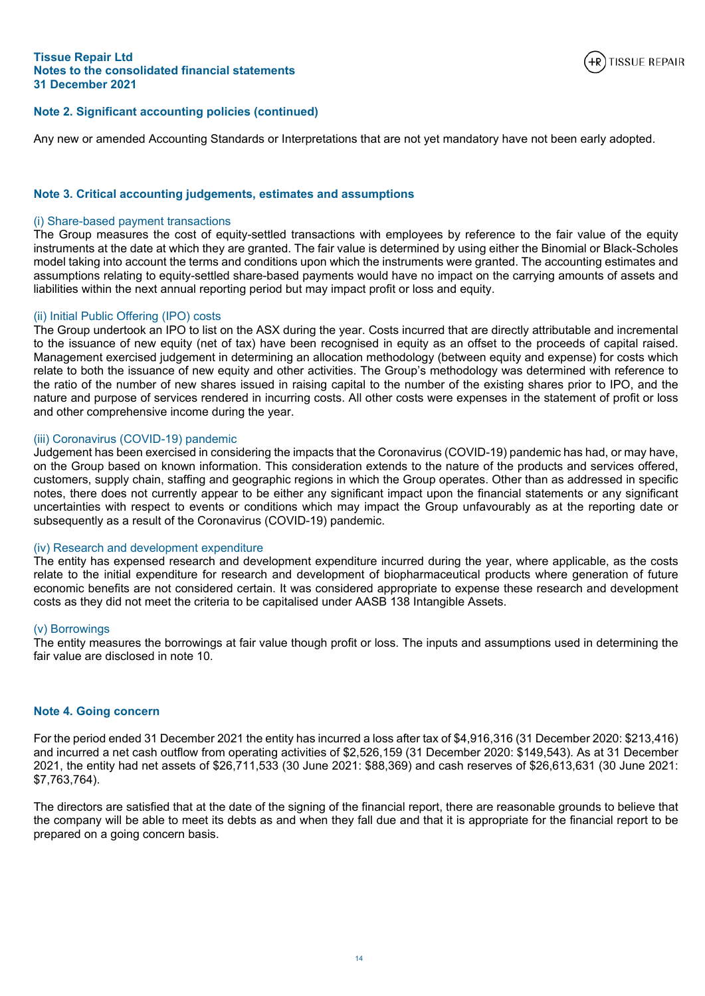

# **Note 2. Significant accounting policies (continued)**

Any new or amended Accounting Standards or Interpretations that are not yet mandatory have not been early adopted.

# **Note 3. Critical accounting judgements, estimates and assumptions**

## (i) Share-based payment transactions

The Group measures the cost of equity-settled transactions with employees by reference to the fair value of the equity instruments at the date at which they are granted. The fair value is determined by using either the Binomial or Black-Scholes model taking into account the terms and conditions upon which the instruments were granted. The accounting estimates and assumptions relating to equity-settled share-based payments would have no impact on the carrying amounts of assets and liabilities within the next annual reporting period but may impact profit or loss and equity.

# (ii) Initial Public Offering (IPO) costs

The Group undertook an IPO to list on the ASX during the year. Costs incurred that are directly attributable and incremental to the issuance of new equity (net of tax) have been recognised in equity as an offset to the proceeds of capital raised. Management exercised judgement in determining an allocation methodology (between equity and expense) for costs which relate to both the issuance of new equity and other activities. The Group's methodology was determined with reference to the ratio of the number of new shares issued in raising capital to the number of the existing shares prior to IPO, and the nature and purpose of services rendered in incurring costs. All other costs were expenses in the statement of profit or loss and other comprehensive income during the year.

## (iii) Coronavirus (COVID-19) pandemic

Judgement has been exercised in considering the impacts that the Coronavirus (COVID-19) pandemic has had, or may have, on the Group based on known information. This consideration extends to the nature of the products and services offered, customers, supply chain, staffing and geographic regions in which the Group operates. Other than as addressed in specific notes, there does not currently appear to be either any significant impact upon the financial statements or any significant uncertainties with respect to events or conditions which may impact the Group unfavourably as at the reporting date or subsequently as a result of the Coronavirus (COVID-19) pandemic.

#### (iv) Research and development expenditure

The entity has expensed research and development expenditure incurred during the year, where applicable, as the costs relate to the initial expenditure for research and development of biopharmaceutical products where generation of future economic benefits are not considered certain. It was considered appropriate to expense these research and development costs as they did not meet the criteria to be capitalised under AASB 138 Intangible Assets.

#### (v) Borrowings

The entity measures the borrowings at fair value though profit or loss. The inputs and assumptions used in determining the fair value are disclosed in note 10

# **Note 4. Going concern**

For the period ended 31 December 2021 the entity has incurred a loss after tax of \$4,916,316 (31 December 2020: \$213,416) and incurred a net cash outflow from operating activities of \$2,526,159 (31 December 2020: \$149,543). As at 31 December 2021, the entity had net assets of \$26,711,533 (30 June 2021: \$88,369) and cash reserves of \$26,613,631 (30 June 2021: \$7,763,764).

The directors are satisfied that at the date of the signing of the financial report, there are reasonable grounds to believe that the company will be able to meet its debts as and when they fall due and that it is appropriate for the financial report to be prepared on a going concern basis.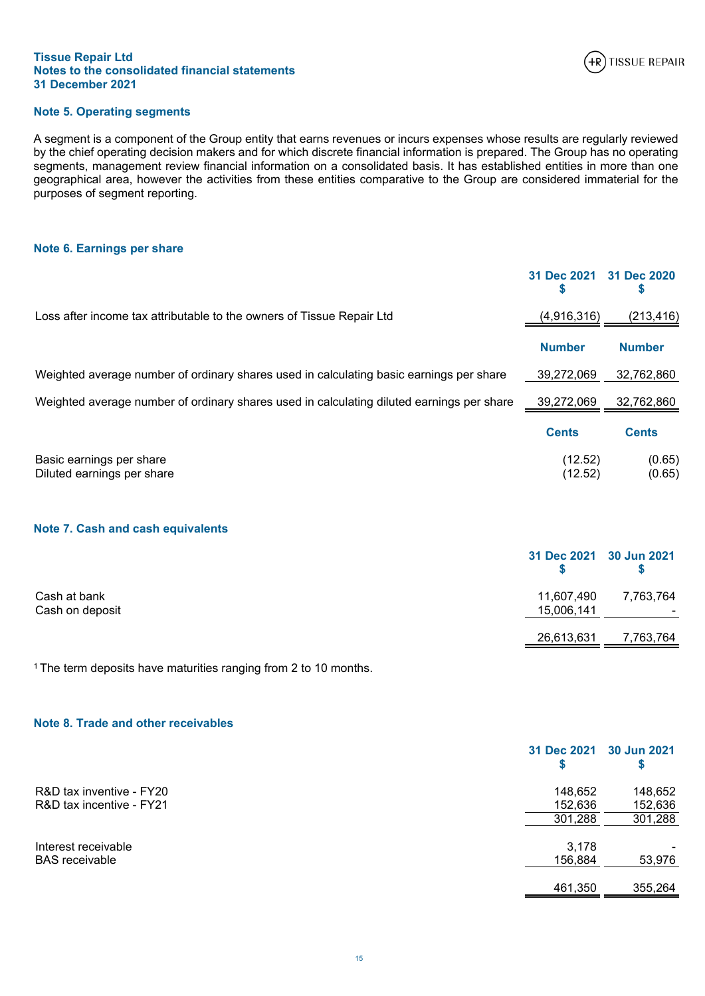

# **Note 5. Operating segments**

A segment is a component of the Group entity that earns revenues or incurs expenses whose results are regularly reviewed by the chief operating decision makers and for which discrete financial information is prepared. The Group has no operating segments, management review financial information on a consolidated basis. It has established entities in more than one geographical area, however the activities from these entities comparative to the Group are considered immaterial for the purposes of segment reporting.

# <span id="page-17-0"></span>**Note 6. Earnings per share**

|                                                                                           | 31 Dec 2021<br>S   | 31 Dec 2020<br>\$ |
|-------------------------------------------------------------------------------------------|--------------------|-------------------|
| Loss after income tax attributable to the owners of Tissue Repair Ltd                     | (4,916,316)        | (213,416)         |
|                                                                                           | <b>Number</b>      | <b>Number</b>     |
| Weighted average number of ordinary shares used in calculating basic earnings per share   | 39.272.069         | 32,762,860        |
| Weighted average number of ordinary shares used in calculating diluted earnings per share | 39,272,069         | 32,762,860        |
|                                                                                           | <b>Cents</b>       | <b>Cents</b>      |
| Basic earnings per share<br>Diluted earnings per share                                    | (12.52)<br>(12.52) | (0.65)<br>(0.65)  |

# <span id="page-17-1"></span>**Note 7. Cash and cash equivalents**

|                                 | 31 Dec 2021 30 Jun 2021  |                                       |
|---------------------------------|--------------------------|---------------------------------------|
| Cash at bank<br>Cash on deposit | 11,607,490<br>15,006,141 | 7,763,764<br>$\overline{\phantom{0}}$ |
|                                 | 26,613,631               | 7,763,764                             |

<sup>1</sup>The term deposits have maturities ranging from 2 to 10 months.

# <span id="page-17-2"></span>**Note 8. Trade and other receivables**

|                          | 31 Dec 2021 | 30 Jun 2021 |
|--------------------------|-------------|-------------|
| R&D tax inventive - FY20 | 148,652     | 148,652     |
| R&D tax incentive - FY21 | 152,636     | 152,636     |
|                          | 301,288     | 301,288     |
| Interest receivable      | 3,178       |             |
| <b>BAS</b> receivable    | 156,884     | 53,976      |
|                          | 461,350     | 355.264     |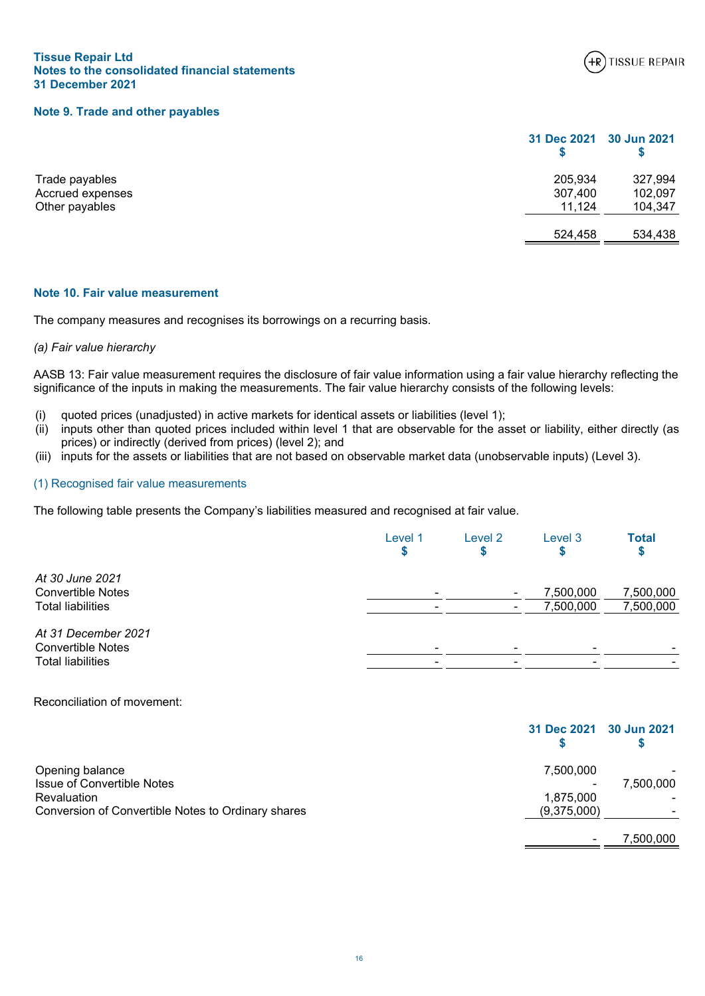

## <span id="page-18-1"></span>**Note 9. Trade and other payables**

| 205,934 | 327,994                 |
|---------|-------------------------|
| 307,400 | 102,097                 |
| 11,124  | 104,347                 |
| 524,458 | 534,438                 |
|         | 31 Dec 2021 30 Jun 2021 |

# <span id="page-18-0"></span>**Note 10. Fair value measurement**

The company measures and recognises its borrowings on a recurring basis.

#### *(a) Fair value hierarchy*

AASB 13: Fair value measurement requires the disclosure of fair value information using a fair value hierarchy reflecting the significance of the inputs in making the measurements. The fair value hierarchy consists of the following levels:

- (i) quoted prices (unadjusted) in active markets for identical assets or liabilities (level 1);
- (ii) inputs other than quoted prices included within level 1 that are observable for the asset or liability, either directly (as prices) or indirectly (derived from prices) (level 2); and
- (iii) inputs for the assets or liabilities that are not based on observable market data (unobservable inputs) (Level 3).

## (1) Recognised fair value measurements

The following table presents the Company's liabilities measured and recognised at fair value.

|                                                                             | Level 1                       | Level 2                       | Level 3                | <b>Total</b><br>Đ      |
|-----------------------------------------------------------------------------|-------------------------------|-------------------------------|------------------------|------------------------|
| At 30 June 2021<br><b>Convertible Notes</b><br><b>Total liabilities</b>     | $\overline{\phantom{0}}$      |                               | 7,500,000<br>7,500,000 | 7,500,000<br>7,500,000 |
| At 31 December 2021<br><b>Convertible Notes</b><br><b>Total liabilities</b> | $\overline{\phantom{a}}$<br>- | -<br>$\overline{\phantom{0}}$ | -                      |                        |

Reconciliation of movement:

|                                                    | 31 Dec 2021 30 Jun 2021 |           |
|----------------------------------------------------|-------------------------|-----------|
| Opening balance                                    | 7,500,000               |           |
| <b>Issue of Convertible Notes</b>                  |                         | 7,500,000 |
| Revaluation                                        | 1,875,000               |           |
| Conversion of Convertible Notes to Ordinary shares | (9,375,000)             |           |
|                                                    |                         | 7,500,000 |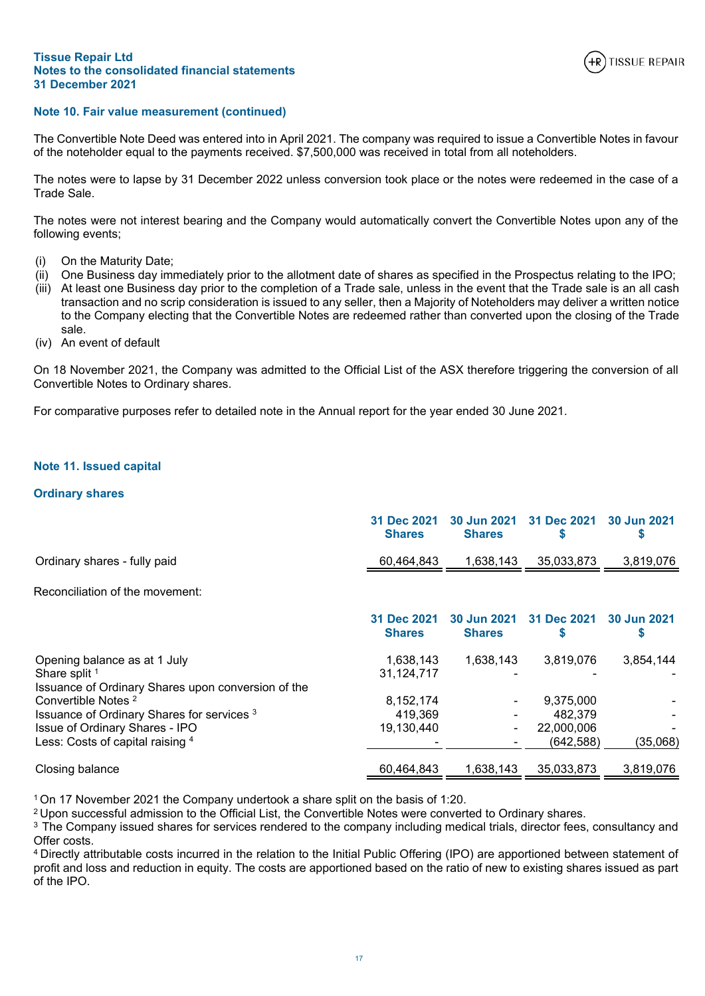

# **Note 10. Fair value measurement (continued)**

The Convertible Note Deed was entered into in April 2021. The company was required to issue a Convertible Notes in favour of the noteholder equal to the payments received. \$7,500,000 was received in total from all noteholders.

The notes were to lapse by 31 December 2022 unless conversion took place or the notes were redeemed in the case of a Trade Sale.

The notes were not interest bearing and the Company would automatically convert the Convertible Notes upon any of the following events;

- (i) On the Maturity Date;
- (ii) One Business day immediately prior to the allotment date of shares as specified in the Prospectus relating to the IPO;
- (iii) At least one Business day prior to the completion of a Trade sale, unless in the event that the Trade sale is an all cash transaction and no scrip consideration is issued to any seller, then a Majority of Noteholders may deliver a written notice to the Company electing that the Convertible Notes are redeemed rather than converted upon the closing of the Trade sale.
- (iv) An event of default

On 18 November 2021, the Company was admitted to the Official List of the ASX therefore triggering the conversion of all Convertible Notes to Ordinary shares.

For comparative purposes refer to detailed note in the Annual report for the year ended 30 June 2021.

# <span id="page-19-0"></span>**Note 11. Issued capital**

## **Ordinary shares**

|                                                                                                     | 31 Dec 2021<br><b>Shares</b> | 30 Jun 2021<br><b>Shares</b> | 31 Dec 2021              | <b>30 Jun 2021</b> |
|-----------------------------------------------------------------------------------------------------|------------------------------|------------------------------|--------------------------|--------------------|
| Ordinary shares - fully paid                                                                        | 60,464,843                   | 1,638,143                    | 35,033,873               | 3,819,076          |
| Reconciliation of the movement:                                                                     |                              |                              |                          |                    |
|                                                                                                     | 31 Dec 2021<br><b>Shares</b> | 30 Jun 2021<br><b>Shares</b> | 31 Dec 2021              | 30 Jun 2021<br>S   |
| Opening balance as at 1 July<br>Share split 1<br>Issuance of Ordinary Shares upon conversion of the | 1,638,143<br>31,124,717      | 1,638,143                    | 3,819,076                | 3,854,144          |
| Convertible Notes <sup>2</sup><br>Issuance of Ordinary Shares for services 3                        | 8,152,174<br>419,369         |                              | 9,375,000<br>482,379     |                    |
| <b>Issue of Ordinary Shares - IPO</b><br>Less: Costs of capital raising 4                           | 19,130,440                   |                              | 22,000,006<br>(642, 588) | (35,068)           |
| Closing balance                                                                                     | 60,464,843                   | 1,638,143                    | 35,033,873               | 3,819,076          |

<sup>1</sup>On 17 November 2021 the Company undertook a share split on the basis of 1:20.

<sup>2</sup>Upon successful admission to the Official List, the Convertible Notes were converted to Ordinary shares.

 $3$  The Company issued shares for services rendered to the company including medical trials, director fees, consultancy and Offer costs.

<sup>4</sup>Directly attributable costs incurred in the relation to the Initial Public Offering (IPO) are apportioned between statement of profit and loss and reduction in equity. The costs are apportioned based on the ratio of new to existing shares issued as part of the IPO.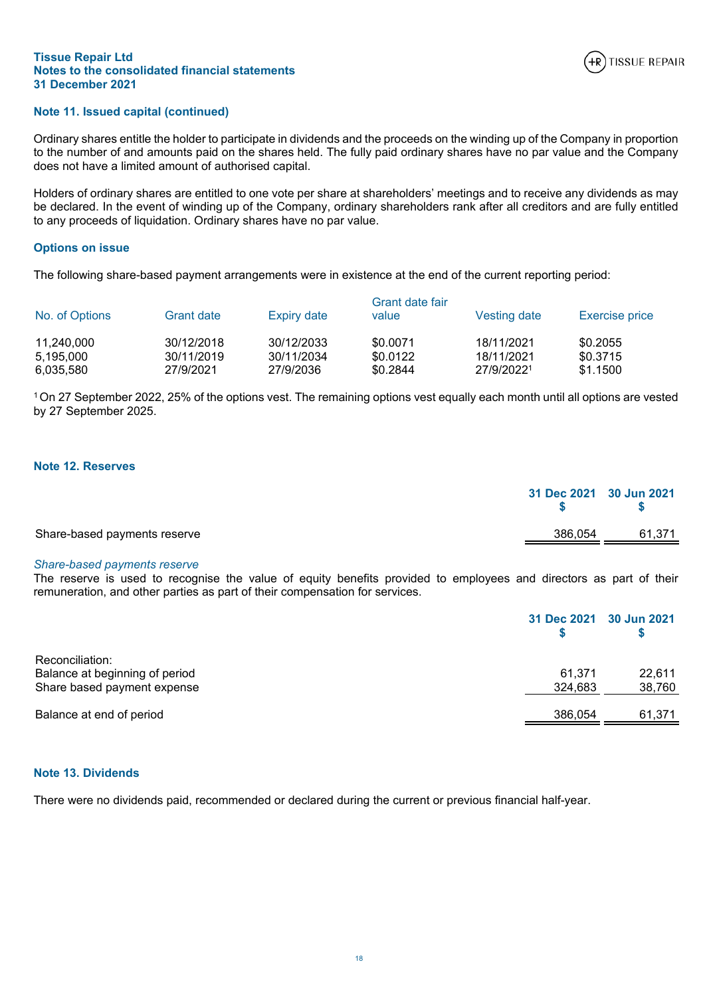

# **Note 11. Issued capital (continued)**

Ordinary shares entitle the holder to participate in dividends and the proceeds on the winding up of the Company in proportion to the number of and amounts paid on the shares held. The fully paid ordinary shares have no par value and the Company does not have a limited amount of authorised capital.

Holders of ordinary shares are entitled to one vote per share at shareholders' meetings and to receive any dividends as may be declared. In the event of winding up of the Company, ordinary shareholders rank after all creditors and are fully entitled to any proceeds of liquidation. Ordinary shares have no par value.

# **Options on issue**

The following share-based payment arrangements were in existence at the end of the current reporting period:

| No. of Options          | <b>Grant date</b>        | Expiry date              | Grant date fair<br>value | <b>Vesting date</b>      | <b>Exercise price</b> |
|-------------------------|--------------------------|--------------------------|--------------------------|--------------------------|-----------------------|
| 11,240,000<br>5,195,000 | 30/12/2018<br>30/11/2019 | 30/12/2033<br>30/11/2034 | \$0.0071<br>\$0.0122     | 18/11/2021<br>18/11/2021 | \$0.2055<br>\$0.3715  |
| 6,035,580               | 27/9/2021                | 27/9/2036                | \$0.2844                 | 27/9/20221               | \$1.1500              |

<sup>1</sup>On 27 September 2022, 25% of the options vest. The remaining options vest equally each month until all options are vested by 27 September 2025.

# <span id="page-20-0"></span>**Note 12. Reserves**

|                              | 31 Dec 2021 30 Jun 2021 |        |
|------------------------------|-------------------------|--------|
| Share-based payments reserve | 386.054                 | 61,371 |

#### *Share-based payments reserve*

The reserve is used to recognise the value of equity benefits provided to employees and directors as part of their remuneration, and other parties as part of their compensation for services.

|                                | 31 Dec 2021 30 Jun 2021 |        |
|--------------------------------|-------------------------|--------|
| Reconciliation:                |                         |        |
| Balance at beginning of period | 61.371                  | 22.611 |
| Share based payment expense    | 324.683                 | 38,760 |
| Balance at end of period       | 386.054                 | 61,371 |

#### **Note 13. Dividends**

There were no dividends paid, recommended or declared during the current or previous financial half-year.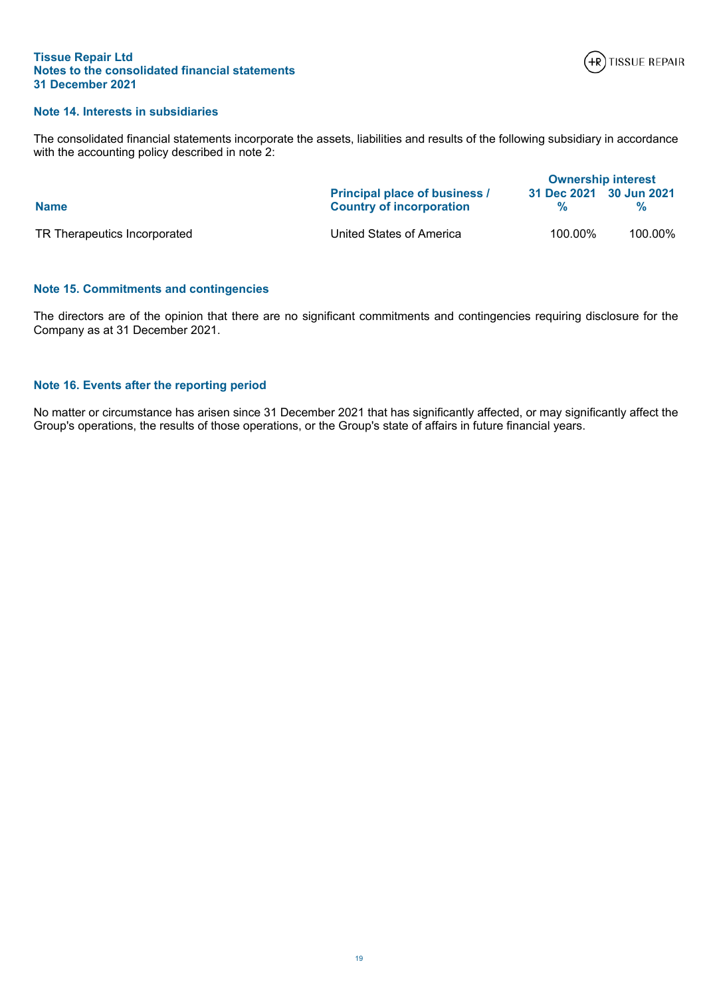

# **Note 14. Interests in subsidiaries**

The consolidated financial statements incorporate the assets, liabilities and results of the following subsidiary in accordance with the accounting policy described in note 2:

|                              |                                                                         | <b>Ownership interest</b> |         |  |
|------------------------------|-------------------------------------------------------------------------|---------------------------|---------|--|
| <b>Name</b>                  | <b>Principal place of business /</b><br><b>Country of incorporation</b> | 31 Dec 2021 30 Jun 2021   |         |  |
| TR Therapeutics Incorporated | United States of America                                                | 100.00%                   | 100.00% |  |

# **Note 15. Commitments and contingencies**

The directors are of the opinion that there are no significant commitments and contingencies requiring disclosure for the Company as at 31 December 2021.

# **Note 16. Events after the reporting period**

No matter or circumstance has arisen since 31 December 2021 that has significantly affected, or may significantly affect the Group's operations, the results of those operations, or the Group's state of affairs in future financial years.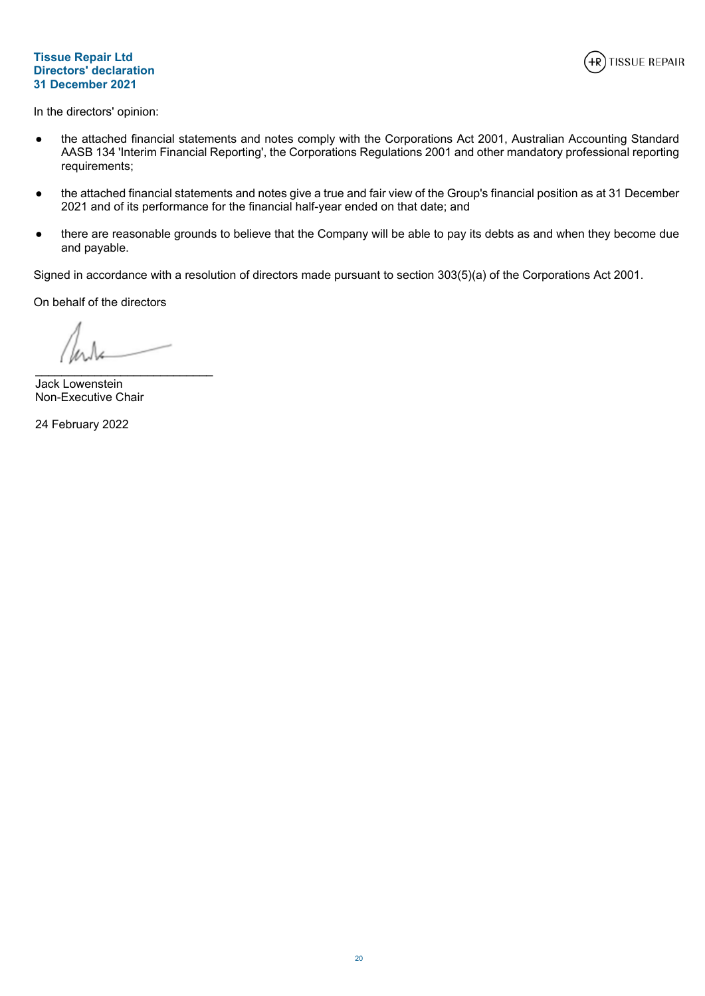# **Tissue Repair Ltd Directors' declaration 31 December 2021**



<span id="page-22-0"></span>In the directors' opinion:

- the attached financial statements and notes comply with the Corporations Act 2001, Australian Accounting Standard AASB 134 'Interim Financial Reporting', the Corporations Regulations 2001 and other mandatory professional reporting requirements;
- the attached financial statements and notes give a true and fair view of the Group's financial position as at 31 December 2021 and of its performance for the financial half-year ended on that date; and
- there are reasonable grounds to believe that the Company will be able to pay its debts as and when they become due and payable.

Signed in accordance with a resolution of directors made pursuant to section 303(5)(a) of the Corporations Act 2001.

On behalf of the directors

\_\_\_\_\_\_\_\_\_\_\_\_\_\_\_\_\_\_\_\_\_\_\_\_\_\_\_

Jack Lowenstein Non-Executive Chair

24 February 2022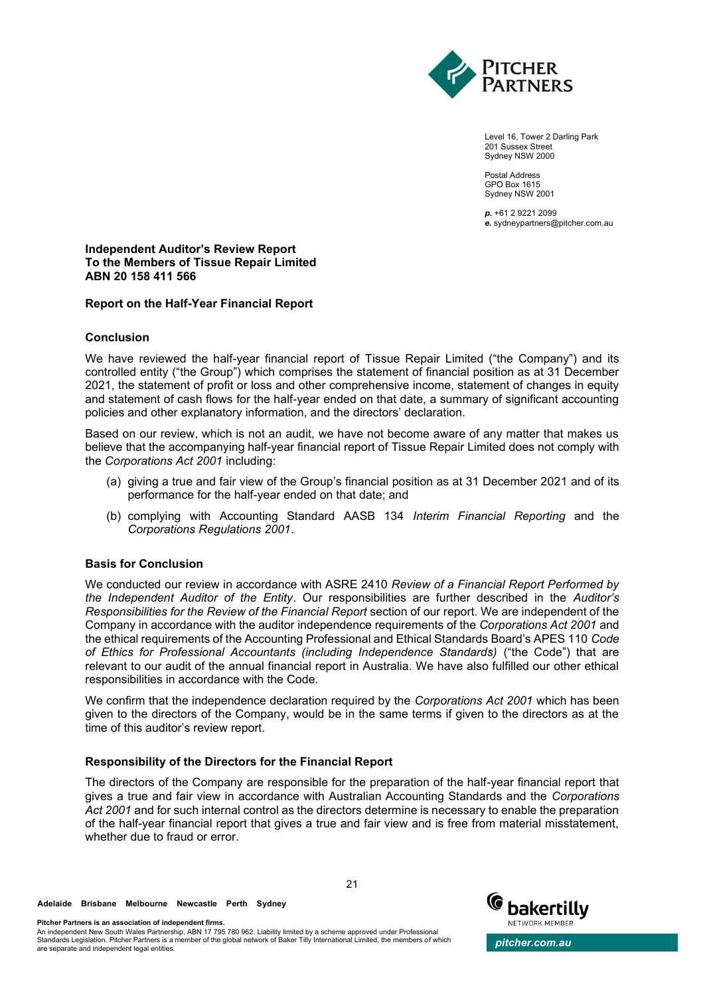

Level 16, Tower 2 Darling Park 201 Sussex Street Sydney NSW 2000

Postal Address GPO Box 1615 Sydney NSW 2001

*p.* +61 2 9221 2099 *e.* sydneypartners@pitcher.com.au

# **Independent Auditor's Review Report To the Members of Tissue Repair Limited ABN 20 158 411 566**

## **Report on the Half-Year Financial Report**

## **Conclusion**

We have reviewed the half-year financial report of Tissue Repair Limited ("the Company") and its controlled entity ("the Group") which comprises the statement of financial position as at 31 December 2021, the statement of profit or loss and other comprehensive income, statement of changes in equity and statement of cash flows for the half-year ended on that date, a summary of significant accounting policies and other explanatory information, and the directors' declaration.

Based on our review, which is not an audit, we have not become aware of any matter that makes us believe that the accompanying half-year financial report of Tissue Repair Limited does not comply with the *Corporations Act 2001* including:

- (a) giving a true and fair view of the Group's financial position as at 31 December 2021 and of its performance for the half-year ended on that date; and
- (b) complying with Accounting Standard AASB 134 *Interim Financial Reporting* and the *Corporations Regulations 2001*.

# **Basis for Conclusion**

We conducted our review in accordance with ASRE 2410 *Review of a Financial Report Performed by the Independent Auditor of the Entity*. Our responsibilities are further described in the *Auditor's Responsibilities for the Review of the Financial Report* section of our report. We are independent of the Company in accordance with the auditor independence requirements of the *Corporations Act 2001* and the ethical requirements of the Accounting Professional and Ethical Standards Board's APES 110 *Code of Ethics for Professional Accountants (including Independence Standards)* ("the Code") that are relevant to our audit of the annual financial report in Australia. We have also fulfilled our other ethical responsibilities in accordance with the Code.

We confirm that the independence declaration required by the *Corporations Act 2001* which has been given to the directors of the Company, would be in the same terms if given to the directors as at the time of this auditor's review report.

# **Responsibility of the Directors for the Financial Report**

The directors of the Company are responsible for the preparation of the half-year financial report that gives a true and fair view in accordance with Australian Accounting Standards and the *Corporations Act 2001* and for such internal control as the directors determine is necessary to enable the preparation of the half-year financial report that gives a true and fair view and is free from material misstatement, whether due to fraud or error.

**Adelaide Brisbane Melbourne Newcastle Perth Sydney**

**Pitcher Partners is an association of independent firms.**

An independent New South Wales Partnership. ABN 17 795 780 962. Liability limited by a scheme approved under Professional<br>Standards Legislation. Pitcher Partners is a member of the global network of Baker Tilly Internation



21